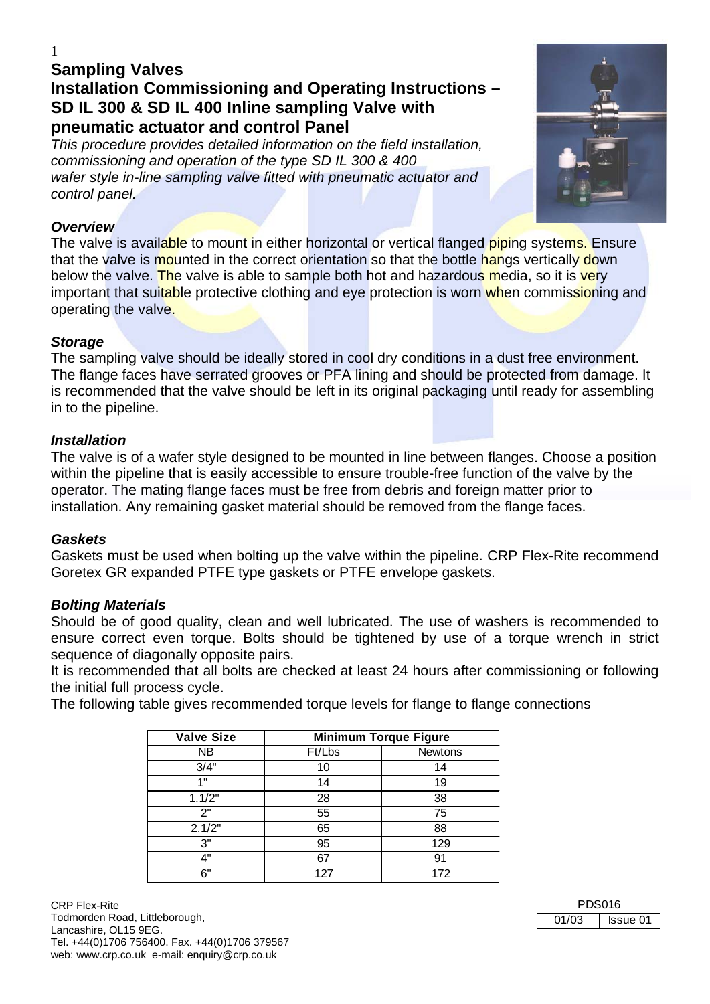# **Sampling Valves Installation Commissioning and Operating Instructions – SD IL 300 & SD IL 400 Inline sampling Valve with pneumatic actuator and control Panel**

*This procedure provides detailed information on the field installation, commissioning and operation of the type SD IL 300 & 400 wafer style in-line sampling valve fitted with pneumatic actuator and control panel.* 

## *Overview*

The valve is available to mount in either horizontal or vertical flanged piping systems. Ensure that the valve is mounted in the correct orientation so that the bottle hangs vertically down below the valve. The valve is able to sample both hot and hazardous media, so it is very important that suitable protective clothing and eye protection is worn when commissioning and operating the valve.

# *Storage*

The sampling valve should be ideally stored in cool dry conditions in a dust free environment. The flange faces have serrated grooves or PFA lining and should be protected from damage. It is recommended that the valve should be left in its original packaging until ready for assembling in to the pipeline.

## *Installation*

The valve is of a wafer style designed to be mounted in line between flanges. Choose a position within the pipeline that is easily accessible to ensure trouble-free function of the valve by the operator. The mating flange faces must be free from debris and foreign matter prior to installation. Any remaining gasket material should be removed from the flange faces.

### *Gaskets*

Gaskets must be used when bolting up the valve within the pipeline. CRP Flex-Rite recommend Goretex GR expanded PTFE type gaskets or PTFE envelope gaskets.

### *Bolting Materials*

Should be of good quality, clean and well lubricated. The use of washers is recommended to ensure correct even torque. Bolts should be tightened by use of a torque wrench in strict sequence of diagonally opposite pairs.

It is recommended that all bolts are checked at least 24 hours after commissioning or following the initial full process cycle.

The following table gives recommended torque levels for flange to flange connections

| <b>Valve Size</b> |        | <b>Minimum Torque Figure</b> |
|-------------------|--------|------------------------------|
| NΒ                | Ft/Lbs | <b>Newtons</b>               |
| 3/4"              | 10     | 14                           |
| 1 "               | 14     | 19                           |
| 1.1/2"            | 28     | 38                           |
| 2"                | 55     | 75                           |
| 2.1/2"            | 65     | 88                           |
| 3"                | 95     | 129                          |
| 4"                | 67     | 91                           |
| հ"                | 127    | 172                          |



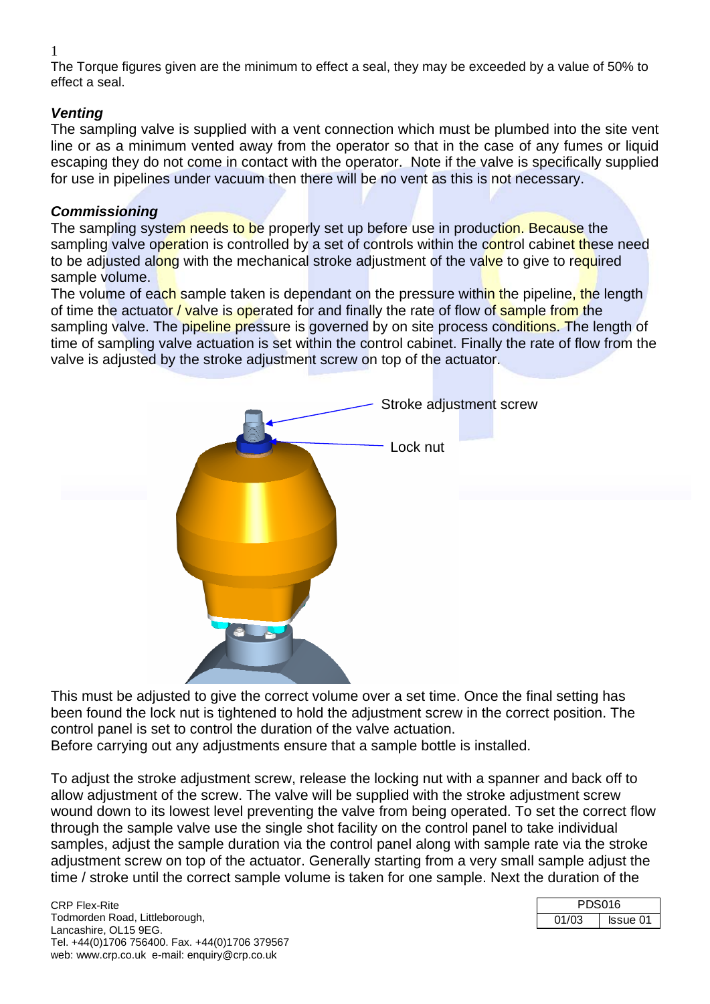1

The Torque figures given are the minimum to effect a seal, they may be exceeded by a value of 50% to effect a seal.

# *Venting*

The sampling valve is supplied with a vent connection which must be plumbed into the site vent line or as a minimum vented away from the operator so that in the case of any fumes or liquid escaping they do not come in contact with the operator. Note if the valve is specifically supplied for use in pipelines under vacuum then there will be no vent as this is not necessary.

# *Commissioning*

The sampling system needs to be properly set up before use in production. Because the sampling valve operation is controlled by a set of controls within the control cabinet these need to be adjusted along with the mechanical stroke adjustment of the valve to give to required sample volume.

The volume of each sample taken is dependant on the pressure within the pipeline, the length of time the actuator / valve is operated for and finally the rate of flow of sample from the sampling valve. The pipeline pressure is governed by on site process conditions. The length of time of sampling valve actuation is set within the control cabinet. Finally the rate of flow from the valve is adjusted by the stroke adjustment screw on top of the actuator.



This must be adjusted to give the correct volume over a set time. Once the final setting has been found the lock nut is tightened to hold the adjustment screw in the correct position. The control panel is set to control the duration of the valve actuation. Before carrying out any adjustments ensure that a sample bottle is installed.

To adjust the stroke adjustment screw, release the locking nut with a spanner and back off to allow adjustment of the screw. The valve will be supplied with the stroke adjustment screw wound down to its lowest level preventing the valve from being operated. To set the correct flow through the sample valve use the single shot facility on the control panel to take individual samples, adjust the sample duration via the control panel along with sample rate via the stroke adjustment screw on top of the actuator. Generally starting from a very small sample adjust the time / stroke until the correct sample volume is taken for one sample. Next the duration of the

| PDS016 |          |
|--------|----------|
| 01/03  | Issue 01 |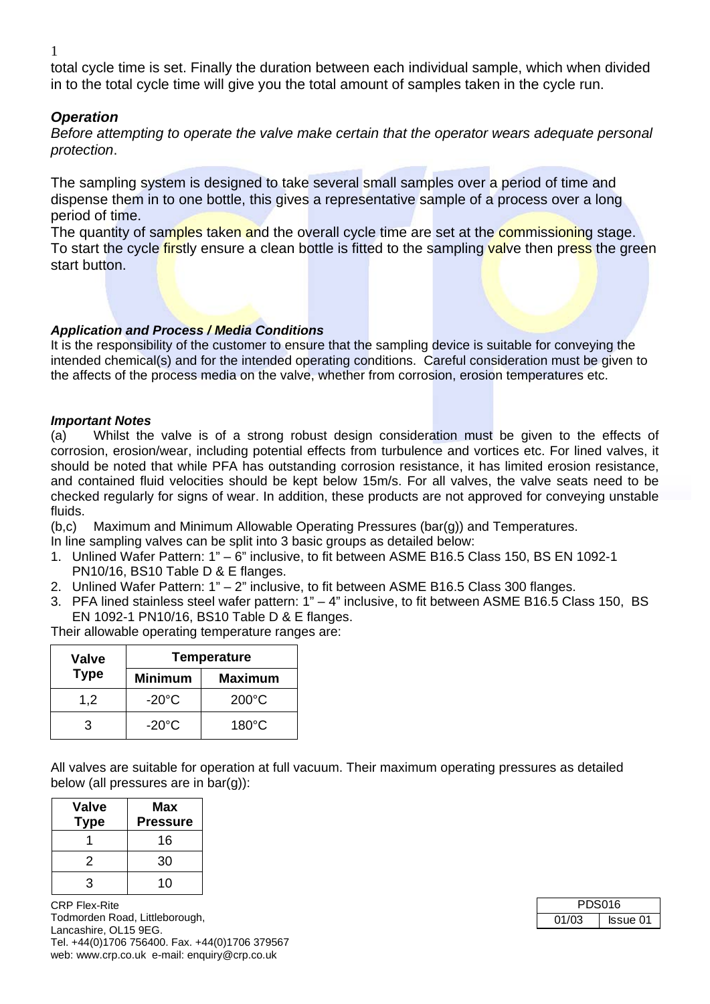1

total cycle time is set. Finally the duration between each individual sample, which when divided in to the total cycle time will give you the total amount of samples taken in the cycle run.

## *Operation*

*Before attempting to operate the valve make certain that the operator wears adequate personal protection*.

The sampling system is designed to take several small samples over a period of time and dispense them in to one bottle, this gives a representative sample of a process over a long period of time.

The quantity of samples taken and the overall cycle time are set at the commissioning stage. To start the cycle firstly ensure a clean bottle is fitted to the sampling valve then press the green start button.

### *Application and Process / Media Conditions*

It is the responsibility of the customer to ensure that the sampling device is suitable for conveying the intended chemical(s) and for the intended operating conditions. Careful consideration must be given to the affects of the process media on the valve, whether from corrosion, erosion temperatures etc.

#### *Important Notes*

(a) Whilst the valve is of a strong robust design consideration must be given to the effects of corrosion, erosion/wear, including potential effects from turbulence and vortices etc. For lined valves, it should be noted that while PFA has outstanding corrosion resistance, it has limited erosion resistance, and contained fluid velocities should be kept below 15m/s. For all valves, the valve seats need to be checked regularly for signs of wear. In addition, these products are not approved for conveying unstable fluids.

(b,c) Maximum and Minimum Allowable Operating Pressures (bar(g)) and Temperatures.

- In line sampling valves can be split into 3 basic groups as detailed below:
- 1. Unlined Wafer Pattern: 1" 6" inclusive, to fit between ASME B16.5 Class 150, BS EN 1092-1 PN10/16, BS10 Table D & E flanges.
- 2. Unlined Wafer Pattern: 1" 2" inclusive, to fit between ASME B16.5 Class 300 flanges.
- 3. PFA lined stainless steel wafer pattern: 1" 4" inclusive, to fit between ASME B16.5 Class 150, BS EN 1092-1 PN10/16, BS10 Table D & E flanges.

Their allowable operating temperature ranges are:

| Valve       | <b>Temperature</b> |                 |
|-------------|--------------------|-----------------|
| <b>Type</b> | <b>Minimum</b>     | <b>Maximum</b>  |
| 1,2         | $-20^{\circ}$ C    | $200^{\circ}$ C |
| З           | $-20^{\circ}$ C    | $180^{\circ}$ C |

All valves are suitable for operation at full vacuum. Their maximum operating pressures as detailed below (all pressures are in bar(g)):

| <b>Valve</b> | Max             |
|--------------|-----------------|
| <b>Type</b>  | <b>Pressure</b> |
|              | 16              |
| 2            | 30              |
| 3            | 10              |

CRP Flex-Rite Todmorden Road, Littleborough, Lancashire, OL15 9EG. Tel. +44(0)1706 756400. Fax. +44(0)1706 379567 web: www.crp.co.uk e-mail: enquiry@crp.co.uk

| <b>PDS016</b> |                 |
|---------------|-----------------|
| 01/03         | <b>Issue 01</b> |